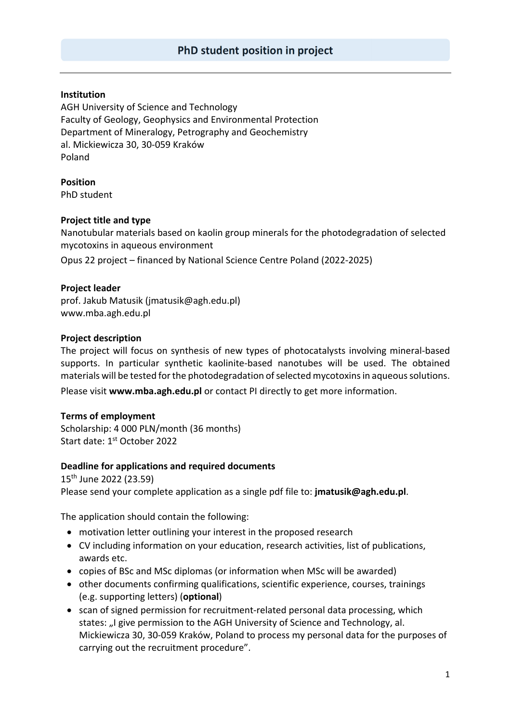## **Institution**

AGH University of Science and Technology Faculty of Geology, Geophysics and Environmental Protection Department of Mineralogy, Petrography and Geochemistry al. Mickiewicza 30, 30‐059 Kraków Poland

**Position**  PhD student

## **Project title and type**

Nanotubular materials based on kaolin group minerals for the photodegradation of selected mycotoxins in aqueous environment

Opus 22 project – financed by National Science Centre Poland (2022‐2025)

## **Project leader**

prof. Jakub Matusik (jmatusik@agh.edu.pl) www.mba.agh.edu.pl

## **Project description**

The project will focus on synthesis of new types of photocatalysts involving mineral-based supports. In particular synthetic kaolinite-based nanotubes will be used. The obtained materials will be tested for the photodegradation of selected mycotoxins in aqueous solutions. Please visit **www.mba.agh.edu.pl** or contact PI directly to get more information.

#### **Terms of employment**

Scholarship: 4 000 PLN/month (36 months) Start date: 1st October 2022

#### **Deadline for applications and required documents**

15th June 2022 (23.59) Please send your complete application as a single pdf file to: **jmatusik@agh.edu.pl**.

The application should contain the following:

- motivation letter outlining your interest in the proposed research
- CV including information on your education, research activities, list of publications, awards etc.
- copies of BSc and MSc diplomas (or information when MSc will be awarded)
- other documents confirming qualifications, scientific experience, courses, trainings (e.g. supporting letters) (**optional**)
- scan of signed permission for recruitment-related personal data processing, which states: "I give permission to the AGH University of Science and Technology, al. Mickiewicza 30, 30‐059 Kraków, Poland to process my personal data for the purposes of carrying out the recruitment procedure".